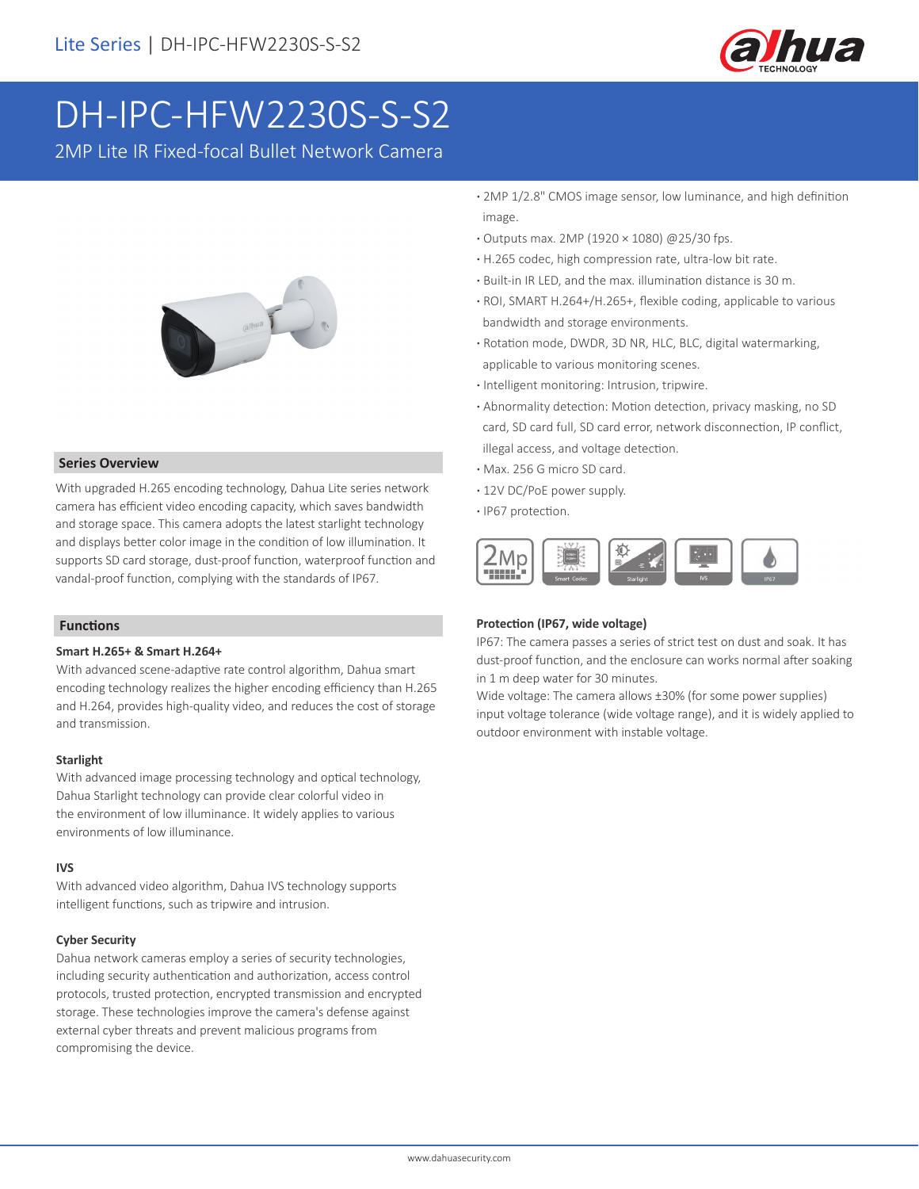

# DH-IPC-HFW2230S-S-S2

2MP Lite IR Fixed-focal Bullet Network Camera



### **Series Overview**

With upgraded H.265 encoding technology, Dahua Lite series network camera has efficient video encoding capacity, which saves bandwidth and storage space. This camera adopts the latest starlight technology and displays better color image in the condition of low illumination. It supports SD card storage, dust-proof function, waterproof function and vandal-proof function, complying with the standards of IP67.

### **Functions**

### **Smart H.265+ & Smart H.264+**

With advanced scene-adaptive rate control algorithm, Dahua smart encoding technology realizes the higher encoding efficiency than H.265 and H.264, provides high-quality video, and reduces the cost of storage and transmission.

### **Starlight**

With advanced image processing technology and optical technology, Dahua Starlight technology can provide clear colorful video in the environment of low illuminance. It widely applies to various environments of low illuminance.

### **IVS**

With advanced video algorithm, Dahua IVS technology supports intelligent functions, such as tripwire and intrusion.

### **Cyber Security**

Dahua network cameras employ a series of security technologies, including security authentication and authorization, access control protocols, trusted protection, encrypted transmission and encrypted storage. These technologies improve the camera's defense against external cyber threats and prevent malicious programs from compromising the device.

- **·** 2MP 1/2.8" CMOS image sensor, low luminance, and high definition image.
- **·** Outputs max. 2MP (1920 × 1080) @25/30 fps.
- **·** H.265 codec, high compression rate, ultra-low bit rate.
- **·** Built-in IR LED, and the max. illumination distance is 30 m.
- **·** ROI, SMART H.264+/H.265+, flexible coding, applicable to various bandwidth and storage environments.
- **·** Rotation mode, DWDR, 3D NR, HLC, BLC, digital watermarking, applicable to various monitoring scenes.
- **·** Intelligent monitoring: Intrusion, tripwire.
- **·** Abnormality detection: Motion detection, privacy masking, no SD card, SD card full, SD card error, network disconnection, IP conflict, illegal access, and voltage detection.
- **·** Max. 256 G micro SD card.
- **·** 12V DC/PoE power supply.
- **·** IP67 protection.



### **Protection (IP67, wide voltage)**

IP67: The camera passes a series of strict test on dust and soak. It has dust-proof function, and the enclosure can works normal after soaking in 1 m deep water for 30 minutes.

Wide voltage: The camera allows ±30% (for some power supplies) input voltage tolerance (wide voltage range), and it is widely applied to outdoor environment with instable voltage.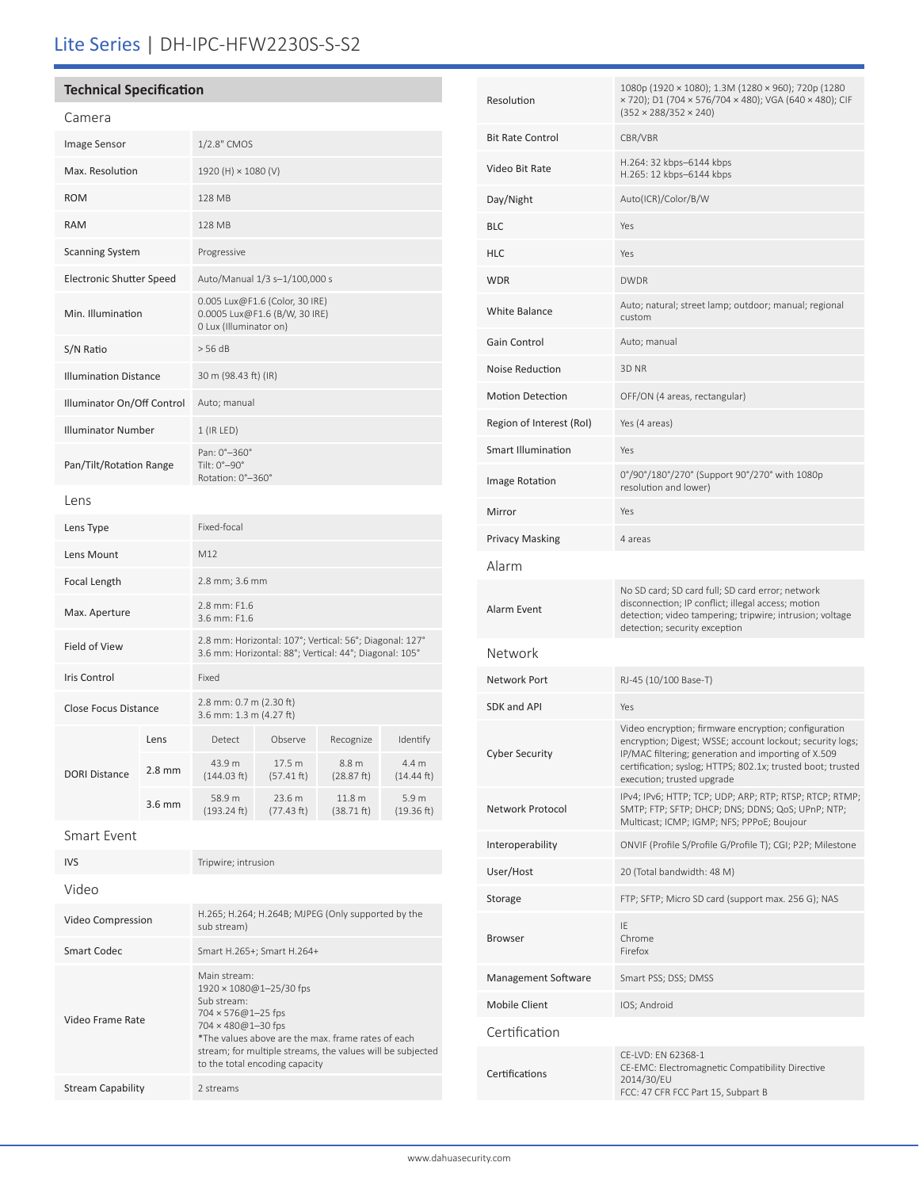# Lite Series | DH-IPC-HFW2230S-S-S2

## **Technical Specification**

| Camera                          |          |                                                                                                                                                                                                                                                                   |                      |                                 |                     |
|---------------------------------|----------|-------------------------------------------------------------------------------------------------------------------------------------------------------------------------------------------------------------------------------------------------------------------|----------------------|---------------------------------|---------------------|
| Image Sensor                    |          | 1/2.8" CMOS                                                                                                                                                                                                                                                       |                      |                                 |                     |
| Max. Resolution                 |          | 1920 (H) × 1080 (V)                                                                                                                                                                                                                                               |                      |                                 |                     |
| <b>ROM</b>                      |          | <b>128 MB</b>                                                                                                                                                                                                                                                     |                      |                                 |                     |
| <b>RAM</b>                      |          | 128 MB                                                                                                                                                                                                                                                            |                      |                                 |                     |
| <b>Scanning System</b>          |          | Progressive                                                                                                                                                                                                                                                       |                      |                                 |                     |
| <b>Electronic Shutter Speed</b> |          | Auto/Manual 1/3 s-1/100,000 s                                                                                                                                                                                                                                     |                      |                                 |                     |
| Min. Illumination               |          | 0.005 Lux@F1.6 (Color, 30 IRE)<br>0.0005 Lux@F1.6 (B/W, 30 IRE)<br>0 Lux (Illuminator on)                                                                                                                                                                         |                      |                                 |                     |
| S/N Ratio                       |          | > 56 dB                                                                                                                                                                                                                                                           |                      |                                 |                     |
| <b>Illumination Distance</b>    |          | 30 m (98.43 ft) (IR)                                                                                                                                                                                                                                              |                      |                                 |                     |
| Illuminator On/Off Control      |          | Auto; manual                                                                                                                                                                                                                                                      |                      |                                 |                     |
| <b>Illuminator Number</b>       |          | $1$ (IR LED)                                                                                                                                                                                                                                                      |                      |                                 |                     |
| Pan/Tilt/Rotation Range         |          | Pan: 0°-360°<br>Tilt: 0°-90°<br>Rotation: 0°-360°                                                                                                                                                                                                                 |                      |                                 |                     |
| Lens                            |          |                                                                                                                                                                                                                                                                   |                      |                                 |                     |
| Lens Type                       |          | Fixed-focal                                                                                                                                                                                                                                                       |                      |                                 |                     |
| Lens Mount                      |          | M12                                                                                                                                                                                                                                                               |                      |                                 |                     |
| Focal Length                    |          | 2.8 mm; 3.6 mm                                                                                                                                                                                                                                                    |                      |                                 |                     |
| Max. Aperture                   |          | 2.8 mm: F1.6<br>3.6 mm: F1.6                                                                                                                                                                                                                                      |                      |                                 |                     |
| Field of View                   |          | 2.8 mm: Horizontal: 107°; Vertical: 56°; Diagonal: 127°<br>3.6 mm: Horizontal: 88°; Vertical: 44°; Diagonal: 105°                                                                                                                                                 |                      |                                 |                     |
| Iris Control                    |          | Fixed                                                                                                                                                                                                                                                             |                      |                                 |                     |
| <b>Close Focus Distance</b>     |          | 2.8 mm: 0.7 m (2.30 ft)<br>3.6 mm: 1.3 m (4.27 ft)                                                                                                                                                                                                                |                      |                                 |                     |
|                                 | Lens     | Detect                                                                                                                                                                                                                                                            | Observe              | Recognize                       | Identify            |
| <b>DORI Distance</b>            | $2.8$ mm | 43.9 m<br>(144.03 ft)                                                                                                                                                                                                                                             | 17.5 m<br>(57.41 ft) | 8.8 m<br>(28.87 ft)             | 4.4 m<br>(14.44 ft) |
|                                 | $3.6$ mm | 58.9 m<br>(193.24 ft)                                                                                                                                                                                                                                             | 23.6 m<br>(77.43 ft) | 11.8 <sub>m</sub><br>(38.71 ft) | 5.9 m<br>(19.36 ft) |
| Smart Event                     |          |                                                                                                                                                                                                                                                                   |                      |                                 |                     |
| <b>IVS</b>                      |          | Tripwire; intrusion                                                                                                                                                                                                                                               |                      |                                 |                     |
| Video                           |          |                                                                                                                                                                                                                                                                   |                      |                                 |                     |
| Video Compression               |          | H.265; H.264; H.264B; MJPEG (Only supported by the<br>sub stream)                                                                                                                                                                                                 |                      |                                 |                     |
| <b>Smart Codec</b>              |          | Smart H.265+; Smart H.264+                                                                                                                                                                                                                                        |                      |                                 |                     |
| Video Frame Rate                |          | Main stream:<br>$1920 \times 1080@1 - 25/30$ fps<br>Sub stream:<br>704 × 576@1-25 fps<br>704 × 480@1-30 fps<br>*The values above are the max. frame rates of each<br>stream; for multiple streams, the values will be subjected<br>to the total encoding capacity |                      |                                 |                     |

Stream Capability 2 streams

| Resolution               | 1080p (1920 × 1080); 1.3M (1280 × 960); 720p (1280<br>× 720); D1 (704 × 576/704 × 480); VGA (640 × 480); CIF<br>$(352 \times 288/352 \times 240)$                                                                                                                     |  |  |
|--------------------------|-----------------------------------------------------------------------------------------------------------------------------------------------------------------------------------------------------------------------------------------------------------------------|--|--|
| <b>Bit Rate Control</b>  | CBR/VBR                                                                                                                                                                                                                                                               |  |  |
| Video Bit Rate           | H.264: 32 kbps-6144 kbps<br>H.265: 12 kbps-6144 kbps                                                                                                                                                                                                                  |  |  |
| Day/Night                | Auto(ICR)/Color/B/W                                                                                                                                                                                                                                                   |  |  |
| <b>BLC</b>               | Yes                                                                                                                                                                                                                                                                   |  |  |
| <b>HLC</b>               | Yes                                                                                                                                                                                                                                                                   |  |  |
| WDR                      | <b>DWDR</b>                                                                                                                                                                                                                                                           |  |  |
| <b>White Balance</b>     | Auto; natural; street lamp; outdoor; manual; regional<br>custom                                                                                                                                                                                                       |  |  |
| Gain Control             | Auto; manual                                                                                                                                                                                                                                                          |  |  |
| Noise Reduction          | 3D NR                                                                                                                                                                                                                                                                 |  |  |
| <b>Motion Detection</b>  | OFF/ON (4 areas, rectangular)                                                                                                                                                                                                                                         |  |  |
| Region of Interest (RoI) | Yes (4 areas)                                                                                                                                                                                                                                                         |  |  |
| Smart Illumination       | Yes                                                                                                                                                                                                                                                                   |  |  |
| Image Rotation           | 0°/90°/180°/270° (Support 90°/270° with 1080p<br>resolution and lower)                                                                                                                                                                                                |  |  |
| Mirror                   | Yes                                                                                                                                                                                                                                                                   |  |  |
| Privacy Masking          | 4 areas                                                                                                                                                                                                                                                               |  |  |
| Alarm                    |                                                                                                                                                                                                                                                                       |  |  |
| Alarm Event              | No SD card; SD card full; SD card error; network<br>disconnection; IP conflict; illegal access; motion<br>detection; video tampering; tripwire; intrusion; voltage<br>detection; security exception                                                                   |  |  |
| Network                  |                                                                                                                                                                                                                                                                       |  |  |
| Network Port             | RJ-45 (10/100 Base-T)                                                                                                                                                                                                                                                 |  |  |
| SDK and API              | Yes                                                                                                                                                                                                                                                                   |  |  |
| <b>Cyber Security</b>    | Video encryption; firmware encryption; configuration<br>encryption; Digest; WSSE; account lockout; security logs;<br>IP/MAC filtering; generation and importing of X.509<br>certification; syslog; HTTPS; 802.1x; trusted boot; trusted<br>execution; trusted upgrade |  |  |
| Network Protocol         | IPv4; IPv6; HTTP; TCP; UDP; ARP; RTP; RTSP; RTCP; RTMP;<br>SMTP; FTP; SFTP; DHCP; DNS; DDNS; QoS; UPnP; NTP;<br>Multicast; ICMP; IGMP; NFS; PPPoE; Boujour                                                                                                            |  |  |
| Interoperability         | ONVIF (Profile S/Profile G/Profile T); CGI; P2P; Milestone                                                                                                                                                                                                            |  |  |
| User/Host                | 20 (Total bandwidth: 48 M)                                                                                                                                                                                                                                            |  |  |
| Storage                  | FTP; SFTP; Micro SD card (support max. 256 G); NAS                                                                                                                                                                                                                    |  |  |
| <b>Browser</b>           | IE<br>Chrome<br>Firefox                                                                                                                                                                                                                                               |  |  |
| Management Software      | Smart PSS; DSS; DMSS                                                                                                                                                                                                                                                  |  |  |
| <b>Mobile Client</b>     | IOS; Android                                                                                                                                                                                                                                                          |  |  |
| Certification            |                                                                                                                                                                                                                                                                       |  |  |
| Certifications           | CE-LVD: EN 62368-1<br>CE-EMC: Electromagnetic Compatibility Directive<br>2014/30/EU<br>FCC: 47 CFR FCC Part 15, Subpart B                                                                                                                                             |  |  |
|                          |                                                                                                                                                                                                                                                                       |  |  |